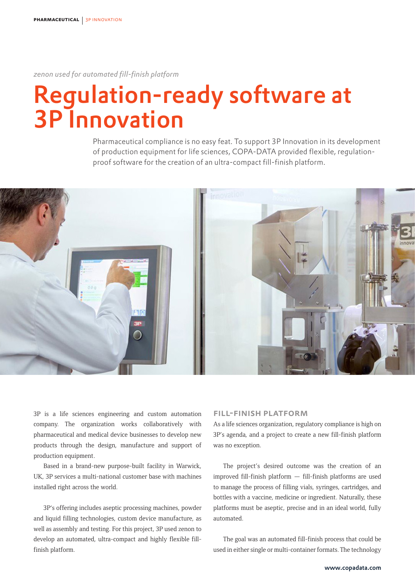*zenon used for automated fill-finish platform* 

# Regulation-ready software at 3P Innovation

Pharmaceutical compliance is no easy feat. To support 3P Innovation in its development of production equipment for life sciences, COPA-DATA provided flexible, regulationproof software for the creation of an ultra-compact fill-finish platform.



3P is a life sciences engineering and custom automation company. The organization works collaboratively with pharmaceutical and medical device businesses to develop new products through the design, manufacture and support of production equipment.

Based in a brand-new purpose-built facility in Warwick, UK, 3P services a multi-national customer base with machines installed right across the world.

3P's offering includes aseptic processing machines, powder and liquid filling technologies, custom device manufacture, as well as assembly and testing. For this project, 3P used zenon to develop an automated, ultra-compact and highly flexible fillfinish platform.

#### Fill-finish platform

As a life sciences organization, regulatory compliance is high on 3P's agenda, and a project to create a new fill-finish platform was no exception.

The project's desired outcome was the creation of an improved fill-finish platform — fill-finish platforms are used to manage the process of filling vials, syringes, cartridges, and bottles with a vaccine, medicine or ingredient. Naturally, these platforms must be aseptic, precise and in an ideal world, fully automated.

The goal was an automated fill-finish process that could be used in either single or multi-container formats. The technology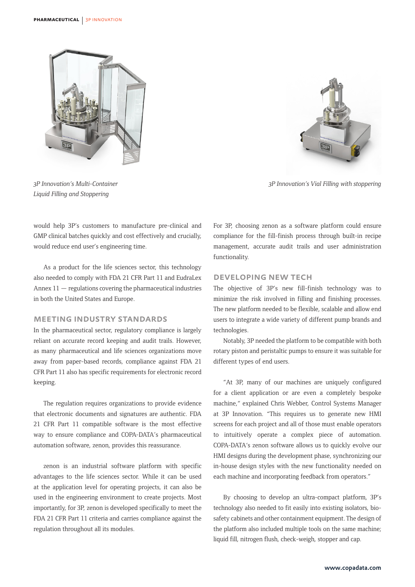

*3P Innovation's Multi-Container Liquid Filling and Stoppering*



*3P Innovation's Vial Filling with stoppering*

would help 3P's customers to manufacture pre-clinical and GMP clinical batches quickly and cost effectively and crucially, would reduce end user's engineering time.

As a product for the life sciences sector, this technology also needed to comply with FDA 21 CFR Part 11 and EudraLex Annex 11 — regulations covering the pharmaceutical industries in both the United States and Europe.

### Meeting industry standards

In the pharmaceutical sector, regulatory compliance is largely reliant on accurate record keeping and audit trails. However, as many pharmaceutical and life sciences organizations move away from paper-based records, compliance against FDA 21 CFR Part 11 also has specific requirements for electronic record keeping.

The regulation requires organizations to provide evidence that electronic documents and signatures are authentic. FDA 21 CFR Part 11 compatible software is the most effective way to ensure compliance and COPA-DATA's pharmaceutical automation software, zenon, provides this reassurance.

zenon is an industrial software platform with specific advantages to the life sciences sector. While it can be used at the application level for operating projects, it can also be used in the engineering environment to create projects. Most importantly, for 3P, zenon is developed specifically to meet the FDA 21 CFR Part 11 criteria and carries compliance against the regulation throughout all its modules.

For 3P, choosing zenon as a software platform could ensure compliance for the fill-finish process through built-in recipe management, accurate audit trails and user administration functionality.

#### Developing new tech

The objective of 3P's new fill-finish technology was to minimize the risk involved in filling and finishing processes. The new platform needed to be flexible, scalable and allow end users to integrate a wide variety of different pump brands and technologies.

Notably, 3P needed the platform to be compatible with both rotary piston and peristaltic pumps to ensure it was suitable for different types of end users.

"At 3P, many of our machines are uniquely configured for a client application or are even a completely bespoke machine," explained Chris Webber, Control Systems Manager at 3P Innovation. "This requires us to generate new HMI screens for each project and all of those must enable operators to intuitively operate a complex piece of automation. COPA-DATA's zenon software allows us to quickly evolve our HMI designs during the development phase, synchronizing our in-house design styles with the new functionality needed on each machine and incorporating feedback from operators."

By choosing to develop an ultra-compact platform, 3P's technology also needed to fit easily into existing isolators, biosafety cabinets and other containment equipment. The design of the platform also included multiple tools on the same machine; liquid fill, nitrogen flush, check-weigh, stopper and cap.